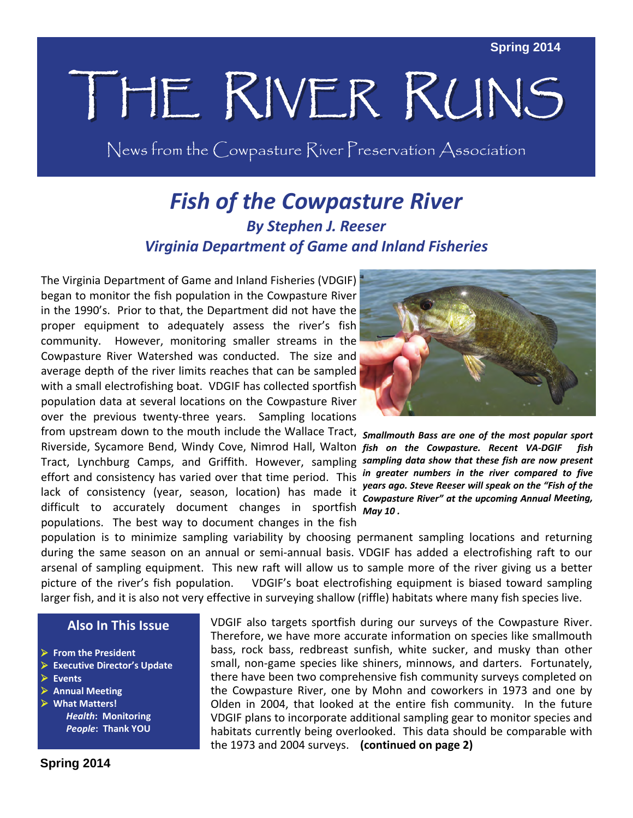# THE RIVER RUNS

News from the Cowpasture River Preservation Association

### *Fish of the Cowpasture River By Stephen J. Reeser Virginia Department of Game and Inland Fisheries*

The Virginia Department of Game and Inland Fisheries (VDGIF) began to monitor the fish population in the Cowpasture River in the 1990's. Prior to that, the Department did not have the proper equipment to adequately assess the river's fish community. However, monitoring smaller streams in the Cowpasture River Watershed was conducted. The size and average depth of the river limits reaches that can be sampled with a small electrofishing boat. VDGIF has collected sportfish population data at several locations on the Cowpasture River over the previous twenty-three years. Sampling locations

from upstream down to the mouth include the Wallace Tract, *Smallmouth Bass are one of the most popular sport* Riverside, Sycamore Bend, Windy Cove, Nimrod Hall, Walton *fish on the Cowpasture. Recent VA‐DGIF fish* Tract, Lynchburg Camps, and Griffith. However, sampling *sampling data show that these fish are now present* effort and consistency has varied over that time period. This lack of consistency (year, season, location) has made it difficult to accurately document changes in sportfish *May 10 .* populations. The best way to document changes in the fish



*in greater numbers in the river compared to five years ago. Steve Reeser will speak on the "Fish of the Cowpasture River" at the upcoming Annual Meeting,*

population is to minimize sampling variability by choosing permanent sampling locations and returning during the same season on an annual or semi-annual basis. VDGIF has added a electrofishing raft to our arsenal of sampling equipment. This new raft will allow us to sample more of the river giving us a better picture of the river's fish population. VDGIF's boat electrofishing equipment is biased toward sampling larger fish, and it is also not very effective in surveying shallow (riffle) habitats where many fish species live.

### **Also In This Issue**

- **From the President**
- **Executive Director's Update**
- **Events**
- **Annual Meeting**
- **What Matters!** *Health***: Monitoring** *People***: Thank YOU**

VDGIF also targets sportfish during our surveys of the Cowpasture River. Therefore, we have more accurate information on species like smallmouth bass, rock bass, redbreast sunfish, white sucker, and musky than other small, non-game species like shiners, minnows, and darters. Fortunately, there have been two comprehensive fish community surveys completed on the Cowpasture River, one by Mohn and coworkers in 1973 and one by Olden in 2004, that looked at the entire fish community. In the future VDGIF plans to incorporate additional sampling gear to monitor species and habitats currently being overlooked. This data should be comparable with the 1973 and 2004 surveys. **(continued on page 2)**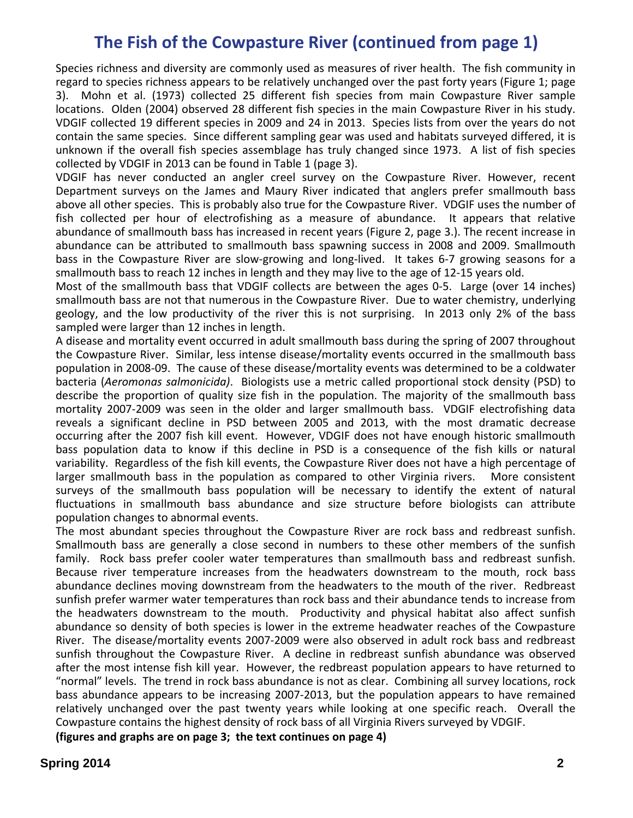### **The Fish of the Cowpasture River (continued from page 1)**

Species richness and diversity are commonly used as measures of river health. The fish community in regard to species richness appears to be relatively unchanged over the past forty years (Figure 1; page 3). Mohn et al. (1973) collected 25 different fish species from main Cowpasture River sample locations. Olden (2004) observed 28 different fish species in the main Cowpasture River in his study. VDGIF collected 19 different species in 2009 and 24 in 2013. Species lists from over the years do not contain the same species. Since different sampling gear was used and habitats surveyed differed, it is unknown if the overall fish species assemblage has truly changed since 1973. A list of fish species collected by VDGIF in 2013 can be found in Table 1 (page 3).

VDGIF has never conducted an angler creel survey on the Cowpasture River. However, recent Department surveys on the James and Maury River indicated that anglers prefer smallmouth bass above all other species. This is probably also true for the Cowpasture River. VDGIF uses the number of fish collected per hour of electrofishing as a measure of abundance. It appears that relative abundance of smallmouth bass has increased in recent years (Figure 2, page 3.). The recent increase in abundance can be attributed to smallmouth bass spawning success in 2008 and 2009. Smallmouth bass in the Cowpasture River are slow-growing and long-lived. It takes 6-7 growing seasons for a smallmouth bass to reach 12 inches in length and they may live to the age of 12‐15 years old.

Most of the smallmouth bass that VDGIF collects are between the ages 0-5. Large (over 14 inches) smallmouth bass are not that numerous in the Cowpasture River. Due to water chemistry, underlying geology, and the low productivity of the river this is not surprising. In 2013 only 2% of the bass sampled were larger than 12 inches in length.

A disease and mortality event occurred in adult smallmouth bass during the spring of 2007 throughout the Cowpasture River. Similar, less intense disease/mortality events occurred in the smallmouth bass population in 2008‐09. The cause of these disease/mortality events was determined to be a coldwater bacteria (*Aeromonas salmonicida)*. Biologists use a metric called proportional stock density (PSD) to describe the proportion of quality size fish in the population. The majority of the smallmouth bass mortality 2007‐2009 was seen in the older and larger smallmouth bass. VDGIF electrofishing data reveals a significant decline in PSD between 2005 and 2013, with the most dramatic decrease occurring after the 2007 fish kill event. However, VDGIF does not have enough historic smallmouth bass population data to know if this decline in PSD is a consequence of the fish kills or natural variability. Regardless of the fish kill events, the Cowpasture River does not have a high percentage of larger smallmouth bass in the population as compared to other Virginia rivers. More consistent surveys of the smallmouth bass population will be necessary to identify the extent of natural fluctuations in smallmouth bass abundance and size structure before biologists can attribute population changes to abnormal events.

The most abundant species throughout the Cowpasture River are rock bass and redbreast sunfish. Smallmouth bass are generally a close second in numbers to these other members of the sunfish family. Rock bass prefer cooler water temperatures than smallmouth bass and redbreast sunfish. Because river temperature increases from the headwaters downstream to the mouth, rock bass abundance declines moving downstream from the headwaters to the mouth of the river. Redbreast sunfish prefer warmer water temperatures than rock bass and their abundance tends to increase from the headwaters downstream to the mouth. Productivity and physical habitat also affect sunfish abundance so density of both species is lower in the extreme headwater reaches of the Cowpasture River. The disease/mortality events 2007‐2009 were also observed in adult rock bass and redbreast sunfish throughout the Cowpasture River. A decline in redbreast sunfish abundance was observed after the most intense fish kill year. However, the redbreast population appears to have returned to "normal" levels. The trend in rock bass abundance is not as clear. Combining all survey locations, rock bass abundance appears to be increasing 2007‐2013, but the population appears to have remained relatively unchanged over the past twenty years while looking at one specific reach. Overall the Cowpasture contains the highest density of rock bass of all Virginia Rivers surveyed by VDGIF.

**(figures and graphs are on page 3; the text continues on page 4)**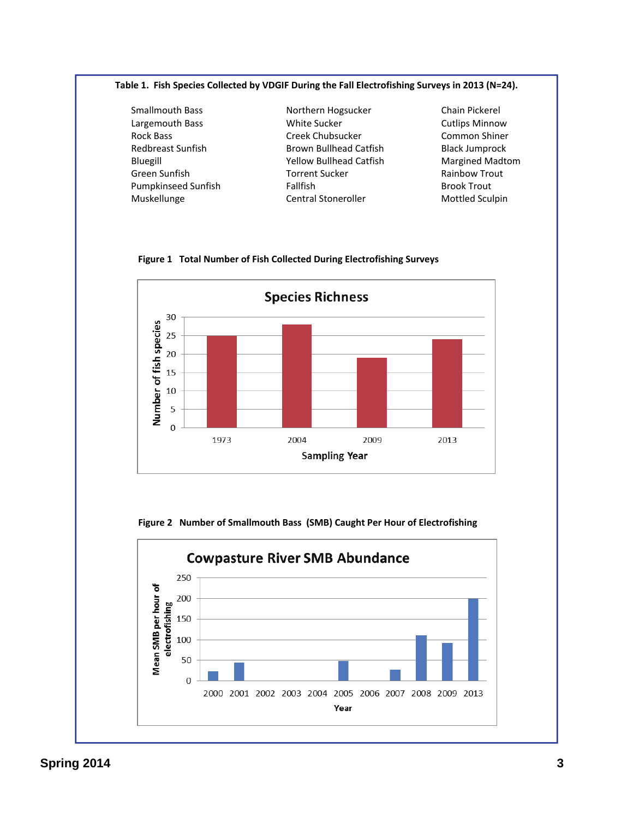#### **Table 1. Fish Species Collected by VDGIF During the Fall Electrofishing Surveys in 2013 (N=24).**

 Smallmouth Bass Northern Hogsucker Chain Pickerel Largemouth Bass **The Sucker State Sucker Cutlips Minnow** Rock Bass **Creek Chubsucker Common Shiner** Common Shiner Redbreast Sunfish Brown Bullhead Catfish Black Jumprock Bluegill Yellow Bullhead Catfish Margined Madtom Green Sunfish Torrent Sucker Rainbow Trout Pumpkinseed Sunfish Fallfish Brook Trout Muskellunge Central Stoneroller Mottled Sculpin



#### **Figure 1 Total Number of Fish Collected During Electrofishing Surveys**

 **Figure 2 Number of Smallmouth Bass (SMB) Caught Per Hour of Electrofishing**

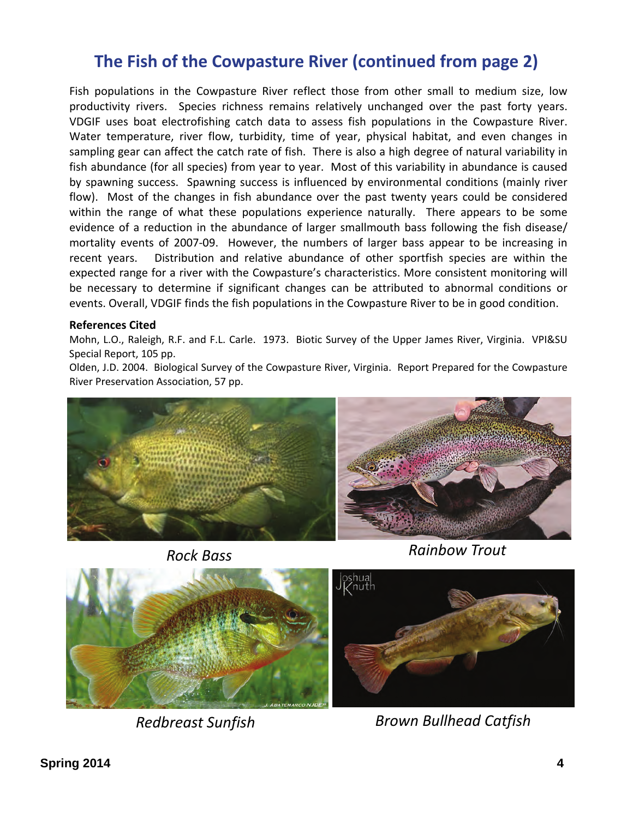### **The Fish of the Cowpasture River (continued from page 2)**

Fish populations in the Cowpasture River reflect those from other small to medium size, low productivity rivers. Species richness remains relatively unchanged over the past forty years. VDGIF uses boat electrofishing catch data to assess fish populations in the Cowpasture River. Water temperature, river flow, turbidity, time of year, physical habitat, and even changes in sampling gear can affect the catch rate of fish. There is also a high degree of natural variability in fish abundance (for all species) from year to year. Most of this variability in abundance is caused by spawning success. Spawning success is influenced by environmental conditions (mainly river flow). Most of the changes in fish abundance over the past twenty years could be considered within the range of what these populations experience naturally. There appears to be some evidence of a reduction in the abundance of larger smallmouth bass following the fish disease/ mortality events of 2007-09. However, the numbers of larger bass appear to be increasing in recent years. Distribution and relative abundance of other sportfish species are within the expected range for a river with the Cowpasture's characteristics. More consistent monitoring will be necessary to determine if significant changes can be attributed to abnormal conditions or events. Overall, VDGIF finds the fish populations in the Cowpasture River to be in good condition.

### **References Cited**

Mohn, L.O., Raleigh, R.F. and F.L. Carle. 1973. Biotic Survey of the Upper James River, Virginia. VPI&SU Special Report, 105 pp.

Olden, J.D. 2004. Biological Survey of the Cowpasture River, Virginia. Report Prepared for the Cowpasture River Preservation Association, 57 pp.





*Rock Bass Rainbow Trout*



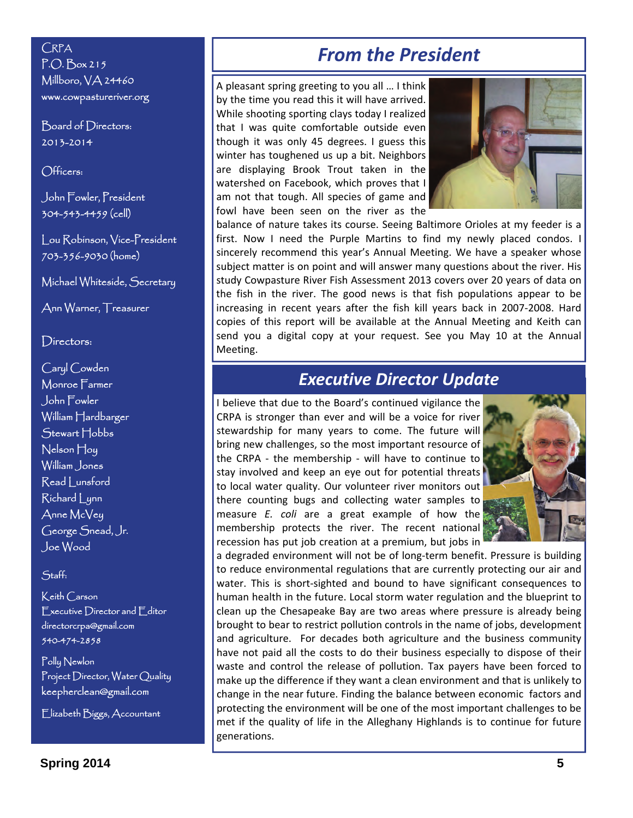P.O. Box 215 Millboro, VA 24460 www.cowpastureriver.org

Board of Directors: 2013-2014

Officers:

John Fowler, President 304-543-4459 (cell)

Lou Robinson, Vice-President 703-356-9030 (home)

Michael Whiteside, Secretary

Ann Warner, Treasurer

### Directors:

Caryl Cowden Monroe Farmer John Fowler William Hardbarger Stewart Hobbs Nelson Hoy William Jones Read Lunsford Richard Lynn Anne McVey George Snead, Jr. Joe Wood

### Staff:

Keith Carson Executive Director and Editor directorcrpa@gmail.com 540-474-2858

Polly Newlon Project Director, Water Quality keepherclean@gmail.com

Elizabeth Biggs, Accountant

### *From the President* **CRPA**

A pleasant spring greeting to you all … I think by the time you read this it will have arrived. While shooting sporting clays today I realized that I was quite comfortable outside even though it was only 45 degrees. I guess this winter has toughened us up a bit. Neighbors are displaying Brook Trout taken in the watershed on Facebook, which proves that I am not that tough. All species of game and fowl have been seen on the river as the



balance of nature takes its course. Seeing Baltimore Orioles at my feeder is a first. Now I need the Purple Martins to find my newly placed condos. I sincerely recommend this year's Annual Meeting. We have a speaker whose subject matter is on point and will answer many questions about the river. His study Cowpasture River Fish Assessment 2013 covers over 20 years of data on the fish in the river. The good news is that fish populations appear to be increasing in recent years after the fish kill years back in 2007‐2008. Hard copies of this report will be available at the Annual Meeting and Keith can send you a digital copy at your request. See you May 10 at the Annual Meeting.

### *Executive Director Update*

I believe that due to the Board's continued vigilance the CRPA is stronger than ever and will be a voice for river stewardship for many years to come. The future will bring new challenges, so the most important resource of the CRPA - the membership - will have to continue to stay involved and keep an eye out for potential threats to local water quality. Our volunteer river monitors out there counting bugs and collecting water samples to measure *E. coli* are a great example of how the membership protects the river. The recent national recession has put job creation at a premium, but jobs in



a degraded environment will not be of long-term benefit. Pressure is building to reduce environmental regulations that are currently protecting our air and water. This is short‐sighted and bound to have significant consequences to human health in the future. Local storm water regulation and the blueprint to clean up the Chesapeake Bay are two areas where pressure is already being brought to bear to restrict pollution controls in the name of jobs, development and agriculture. For decades both agriculture and the business community have not paid all the costs to do their business especially to dispose of their waste and control the release of pollution. Tax payers have been forced to make up the difference if they want a clean environment and that is unlikely to change in the near future. Finding the balance between economic factors and protecting the environment will be one of the most important challenges to be met if the quality of life in the Alleghany Highlands is to continue for future generations.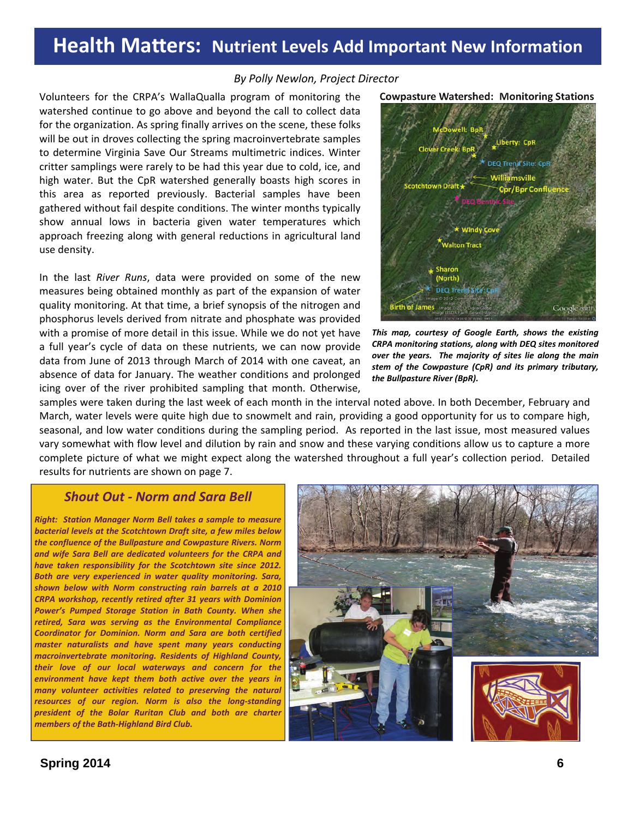### **Health Matters: Nutrient Levels Add Important New Information**

#### *By Polly Newlon, Project Director*

Volunteers for the CRPA's WallaQualla program of monitoring the watershed continue to go above and beyond the call to collect data for the organization. As spring finally arrives on the scene, these folks will be out in droves collecting the spring macroinvertebrate samples to determine Virginia Save Our Streams multimetric indices. Winter critter samplings were rarely to be had this year due to cold, ice, and high water. But the CpR watershed generally boasts high scores in this area as reported previously. Bacterial samples have been gathered without fail despite conditions. The winter months typically show annual lows in bacteria given water temperatures which approach freezing along with general reductions in agricultural land use density.

In the last *River Runs*, data were provided on some of the new measures being obtained monthly as part of the expansion of water quality monitoring. At that time, a brief synopsis of the nitrogen and phosphorus levels derived from nitrate and phosphate was provided with a promise of more detail in this issue. While we do not yet have a full year's cycle of data on these nutrients, we can now provide data from June of 2013 through March of 2014 with one caveat, an absence of data for January. The weather conditions and prolonged icing over of the river prohibited sampling that month. Otherwise,

**Cowpasture Watershed: Monitoring Stations** 

all: Ros Liberty: CpR .<br>Creek: BpR **Jilliamsville stchtown Draft +** Cor/Bor Con **Walton Tract Sharon** (North) DEO Tre

*This map, courtesy of Google Earth, shows the existing CRPA monitoring stations, along with DEQ sites monitored over the years. The majority of sites lie along the main stem of the Cowpasture (CpR) and its primary tributary, the Bullpasture River (BpR).*

samples were taken during the last week of each month in the interval noted above. In both December, February and March, water levels were quite high due to snowmelt and rain, providing a good opportunity for us to compare high, seasonal, and low water conditions during the sampling period. As reported in the last issue, most measured values vary somewhat with flow level and dilution by rain and snow and these varying conditions allow us to capture a more complete picture of what we might expect along the watershed throughout a full year's collection period. Detailed results for nutrients are shown on page 7.

### *Shout Out ‐ Norm and Sara Bell*

*Right: Station Manager Norm Bell takes a sample to measure bacterial levels at the Scotchtown Draft site, a few miles below the confluence of the Bullpasture and Cowpasture Rivers. Norm and wife Sara Bell are dedicated volunteers for the CRPA and have taken responsibility for the Scotchtown site since 2012. Both are very experienced in water quality monitoring. Sara, shown below with Norm constructing rain barrels at a 2010 CRPA workshop, recently retired after 31 years with Dominion Power's Pumped Storage Station in Bath County. When she retired, Sara was serving as the Environmental Compliance Coordinator for Dominion. Norm and Sara are both certified master naturalists and have spent many years conducting macroinvertebrate monitoring. Residents of Highland County, their love of our local waterways and concern for the environment have kept them both active over the years in many volunteer activities related to preserving the natural resources of our region. Norm is also the long‐standing president of the Bolar Ruritan Club and both are charter members of the Bath‐Highland Bird Club.*

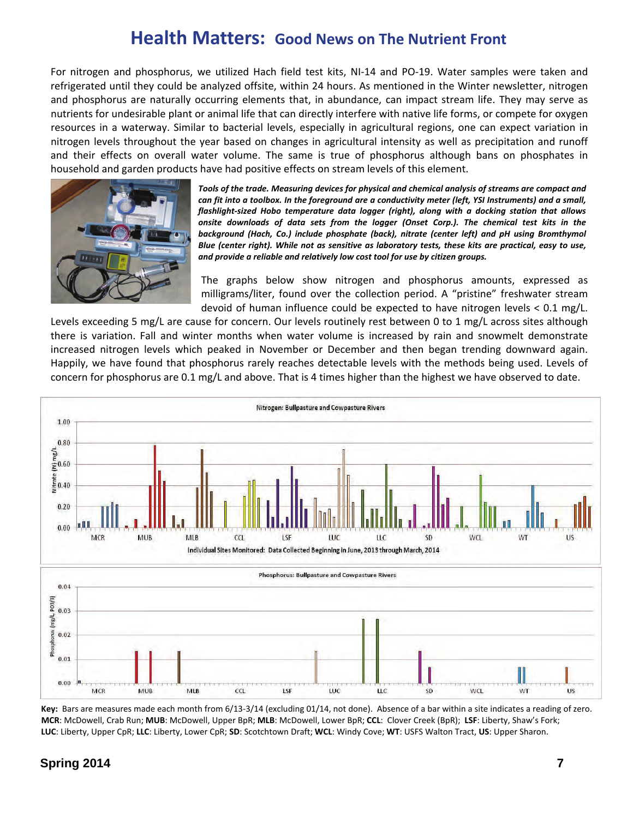### **Health Matters: Good News on The Nutrient Front**

For nitrogen and phosphorus, we utilized Hach field test kits, NI‐14 and PO‐19. Water samples were taken and refrigerated until they could be analyzed offsite, within 24 hours. As mentioned in the Winter newsletter, nitrogen and phosphorus are naturally occurring elements that, in abundance, can impact stream life. They may serve as nutrients for undesirable plant or animal life that can directly interfere with native life forms, or compete for oxygen resources in a waterway. Similar to bacterial levels, especially in agricultural regions, one can expect variation in nitrogen levels throughout the year based on changes in agricultural intensity as well as precipitation and runoff and their effects on overall water volume. The same is true of phosphorus although bans on phosphates in household and garden products have had positive effects on stream levels of this element.



*Tools of the trade. Measuring devices for physical and chemical analysis of streams are compact and* can fit into a toolbox. In the foreground are a conductivity meter (left, YSI Instruments) and a small, *flashlight‐sized Hobo temperature data logger (right), along with a docking station that allows onsite downloads of data sets from the logger (Onset Corp.). The chemical test kits in the background (Hach, Co.) include phosphate (back), nitrate (center left) and pH using Bromthymol Blue (center right). While not as sensitive as laboratory tests, these kits are practical, easy to use, and provide a reliable and relatively low cost tool for use by citizen groups.*

The graphs below show nitrogen and phosphorus amounts, expressed as milligrams/liter, found over the collection period. A "pristine" freshwater stream devoid of human influence could be expected to have nitrogen levels < 0.1 mg/L.

Levels exceeding 5 mg/L are cause for concern. Our levels routinely rest between 0 to 1 mg/L across sites although there is variation. Fall and winter months when water volume is increased by rain and snowmelt demonstrate increased nitrogen levels which peaked in November or December and then began trending downward again. Happily, we have found that phosphorus rarely reaches detectable levels with the methods being used. Levels of concern for phosphorus are 0.1 mg/L and above. That is 4 times higher than the highest we have observed to date.



**Key:** Bars are measures made each month from 6/13‐3/14 (excluding 01/14, not done). Absence of a bar within a site indicates a reading of zero. **MCR**: McDowell, Crab Run; **MUB**: McDowell, Upper BpR; **MLB**: McDowell, Lower BpR; **CCL**: Clover Creek (BpR); **LSF**: Liberty, Shaw's Fork; **LUC**: Liberty, Upper CpR; **LLC**: Liberty, Lower CpR; **SD**: Scotchtown Draft; **WCL**: Windy Cove; **WT**: USFS Walton Tract, **US**: Upper Sharon.

### **Spring 2014 7**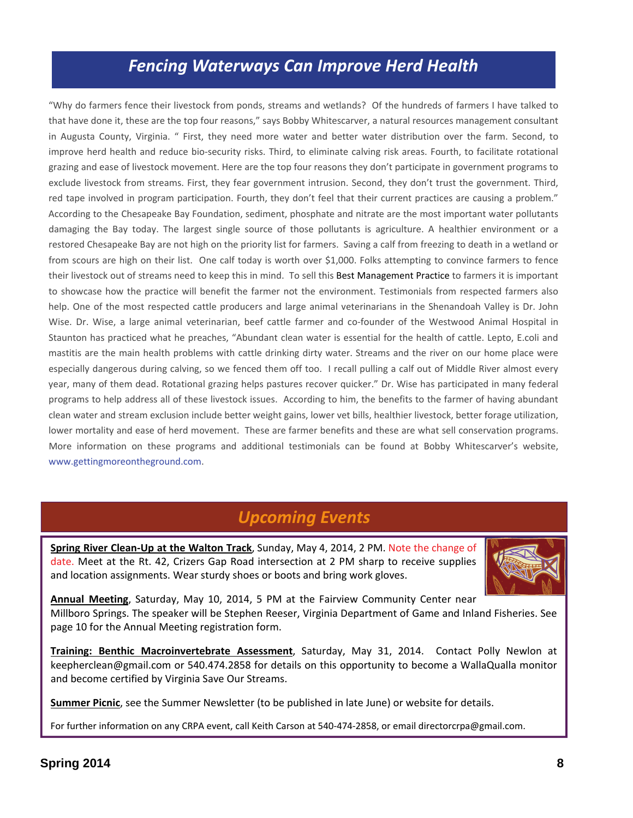### *Fencing Waterways Can Improve Herd Health*

"Why do farmers fence their livestock from ponds, streams and wetlands? Of the hundreds of farmers I have talked to that have done it, these are the top four reasons," says Bobby Whitescarver, a natural resources management consultant in Augusta County, Virginia. " First, they need more water and better water distribution over the farm. Second, to improve herd health and reduce bio‐security risks. Third, to eliminate calving risk areas. Fourth, to facilitate rotational grazing and ease of livestock movement. Here are the top four reasons they don't participate in government programs to exclude livestock from streams. First, they fear government intrusion. Second, they don't trust the government. Third, red tape involved in program participation. Fourth, they don't feel that their current practices are causing a problem." According to the Chesapeake Bay Foundation, sediment, phosphate and nitrate are the most important water pollutants damaging the Bay today. The largest single source of those pollutants is agriculture. A healthier environment or a restored Chesapeake Bay are not high on the priority list for farmers. Saving a calf from freezing to death in a wetland or from scours are high on their list. One calf today is worth over \$1,000. Folks attempting to convince farmers to fence their livestock out of streams need to keep this in mind. To sell this Best [Management](http://pubs.ext.vt.edu/442/442-766/442-766_pdf.pdf) Practice to farmers it is important to showcase how the practice will benefit the farmer not the environment. Testimonials from respected farmers also help. One of the most respected cattle producers and large animal veterinarians in the Shenandoah Valley is Dr. John Wise. Dr. Wise, a large animal veterinarian, beef cattle farmer and co-founder of the Westwood Animal Hospital in Staunton has practiced what he preaches, "Abundant clean water is essential for the health of cattle. Lepto, E.coli and mastitis are the main health problems with cattle drinking dirty water. Streams and the river on our home place were especially dangerous during calving, so we fenced them off too. I recall pulling a calf out of Middle River almost every year, many of them dead. Rotational grazing helps pastures recover quicker." Dr. Wise has participated in many federal programs to help address all of these livestock issues. According to him, the benefits to the farmer of having abundant clean water and stream exclusion include better weight gains, lower vet bills, healthier livestock, better forage utilization, lower mortality and ease of herd movement. These are farmer benefits and these are what sell conservation programs. More information on these programs and additional testimonials can be found at Bobby Whitescarver's website, www.gettingmoreontheground.com.

### *Upcoming Events*

**Spring River Clean‐Up at the Walton Track**, Sunday, May 4, 2014, 2 PM. Note the change of date. Meet at the Rt. 42, Crizers Gap Road intersection at 2 PM sharp to receive supplies and location assignments. Wear sturdy shoes or boots and bring work gloves.



**Annual Meeting**, Saturday, May 10, 2014, 5 PM at the Fairview Community Center near Millboro Springs. The speaker will be Stephen Reeser, Virginia Department of Game and Inland Fisheries. See page 10 for the Annual Meeting registration form.

**Training: Benthic Macroinvertebrate Assessment**, Saturday, May 31, 2014. Contact Polly Newlon at keepherclean@gmail.com or 540.474.2858 for details on this opportunity to become a WallaQualla monitor and become certified by Virginia Save Our Streams.

**Summer Picnic**, see the Summer Newsletter (to be published in late June) or website for details.

For further information on any CRPA event, call Keith Carson at 540‐474‐2858, or email directorcrpa@gmail.com.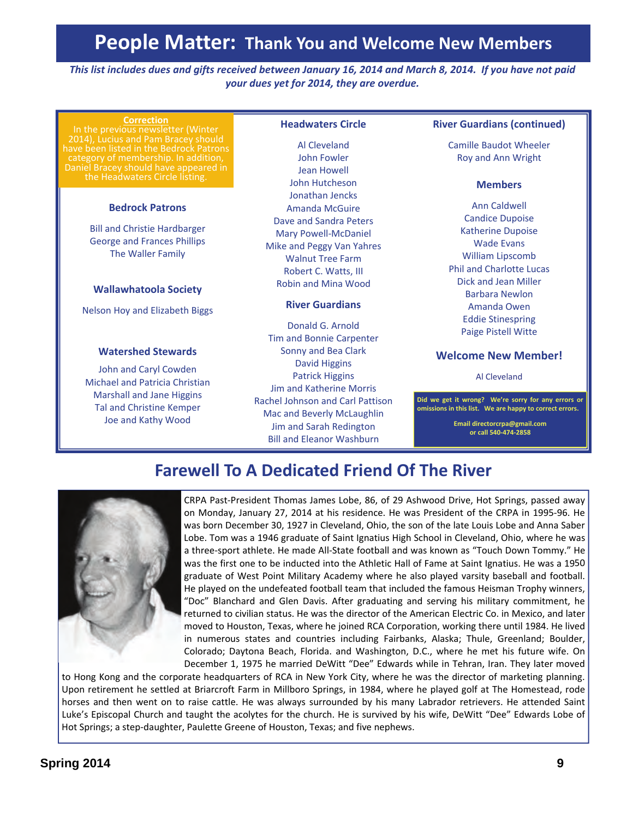### **People Matter: Thank You and Welcome New Members**

This list includes dues and gifts received between January 16, 2014 and March 8, 2014. If you have not paid *your dues yet for 2014, they are overdue.*

#### **Correction**

In the previous newsletter (Winter 2014), Lucius and Pam Bracey should have been listed in the Bedrock Patrons category of membership. In addition, Daniel Bracey should have appeared in the Headwaters Circle listing.

#### **Bedrock Patrons**

Bill and Christie Hardbarger George and Frances Phillips The Waller Family

#### **Wallawhatoola Society**

Nelson Hoy and Elizabeth Biggs

#### **Watershed Stewards**

John and Caryl Cowden Michael and Patricia Christian Marshall and Jane Higgins Tal and Christine Kemper Joe and Kathy Wood

### **Headwaters Circle**

Al Cleveland John Fowler Jean Howell John Hutcheson Jonathan Jencks Amanda McGuire Dave and Sandra Peters Mary Powell‐McDaniel Mike and Peggy Van Yahres Walnut Tree Farm Robert C. Watts, III Robin and Mina Wood

#### **River Guardians**

Donald G. Arnold Tim and Bonnie Carpenter Sonny and Bea Clark David Higgins Patrick Higgins Jim and Katherine Morris Rachel Johnson and Carl Pattison Mac and Beverly McLaughlin Jim and Sarah Redington Bill and Eleanor Washburn

#### **River Guardians (continued)**

Camille Baudot Wheeler Roy and Ann Wright

#### **Members**

Ann Caldwell Candice Dupoise Katherine Dupoise Wade Evans William Lipscomb Phil and Charlotte Lucas Dick and Jean Miller Barbara Newlon Amanda Owen Eddie Stinespring Paige Pistell Witte

### **Welcome New Member!**

Al Cleveland

**Did we get it wrong? We're sorry for any errors or omissions in this list. We are happy to correct errors.** 

> **Email directorcrpa@gmail.com or call 540‐474‐2858**

### **Farewell To A Dedicated Friend Of The River**



CRPA Past‐President Thomas James Lobe, 86, of 29 Ashwood Drive, Hot Springs, passed away on Monday, January 27, 2014 at his residence. He was President of the CRPA in 1995‐96. He was born December 30, 1927 in Cleveland, Ohio, the son of the late Louis Lobe and Anna Saber Lobe. Tom was a 1946 graduate of Saint Ignatius High School in Cleveland, Ohio, where he was a three‐sport athlete. He made All‐State football and was known as "Touch Down Tommy." He was the first one to be inducted into the Athletic Hall of Fame at Saint Ignatius. He was a 1950 graduate of West Point Military Academy where he also played varsity baseball and football. He played on the undefeated football team that included the famous Heisman Trophy winners, "Doc" Blanchard and Glen Davis. After graduating and serving his military commitment, he returned to civilian status. He was the director of the American Electric Co. in Mexico, and later moved to Houston, Texas, where he joined RCA Corporation, working there until 1984. He lived in numerous states and countries including Fairbanks, Alaska; Thule, Greenland; Boulder, Colorado; Daytona Beach, Florida. and Washington, D.C., where he met his future wife. On December 1, 1975 he married DeWitt "Dee" Edwards while in Tehran, Iran. They later moved

to Hong Kong and the corporate headquarters of RCA in New York City, where he was the director of marketing planning. Upon retirement he settled at Briarcroft Farm in Millboro Springs, in 1984, where he played golf at The Homestead, rode horses and then went on to raise cattle. He was always surrounded by his many Labrador retrievers. He attended Saint Luke's Episcopal Church and taught the acolytes for the church. He is survived by his wife, DeWitt "Dee" Edwards Lobe of Hot Springs; a step‐daughter, Paulette Greene of Houston, Texas; and five nephews.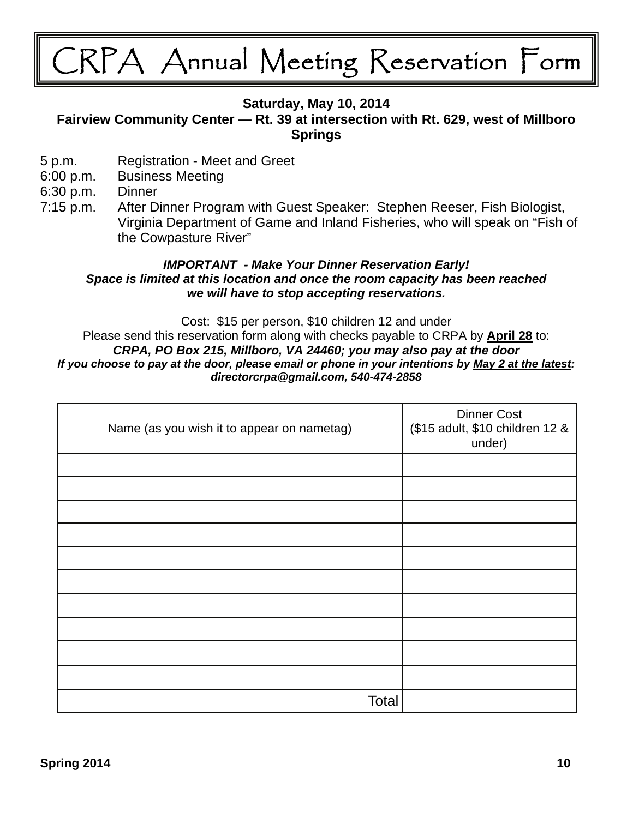## CRPA Annual Meeting Reservation Form

### **Saturday, May 10, 2014**

### **Fairview Community Center — Rt. 39 at intersection with Rt. 629, west of Millboro Springs**

- 5 p.m. Registration Meet and Greet
- 6:00 p.m. Business Meeting

6:30 p.m. Dinner

7:15 p.m. After Dinner Program with Guest Speaker: Stephen Reeser, Fish Biologist, Virginia Department of Game and Inland Fisheries, who will speak on "Fish of the Cowpasture River"

### *IMPORTANT - Make Your Dinner Reservation Early! Space is limited at this location and once the room capacity has been reached we will have to stop accepting reservations.*

Cost: \$15 per person, \$10 children 12 and under Please send this reservation form along with checks payable to CRPA by **April 28** to: *CRPA, PO Box 215, Millboro, VA 24460; you may also pay at the door If you choose to pay at the door, please email or phone in your intentions by May 2 at the latest: directorcrpa@gmail.com, 540-474-2858* 

| Name (as you wish it to appear on nametag) | <b>Dinner Cost</b><br>(\$15 adult, \$10 children 12 &<br>under) |
|--------------------------------------------|-----------------------------------------------------------------|
|                                            |                                                                 |
|                                            |                                                                 |
|                                            |                                                                 |
|                                            |                                                                 |
|                                            |                                                                 |
|                                            |                                                                 |
|                                            |                                                                 |
|                                            |                                                                 |
|                                            |                                                                 |
|                                            |                                                                 |
| Total                                      |                                                                 |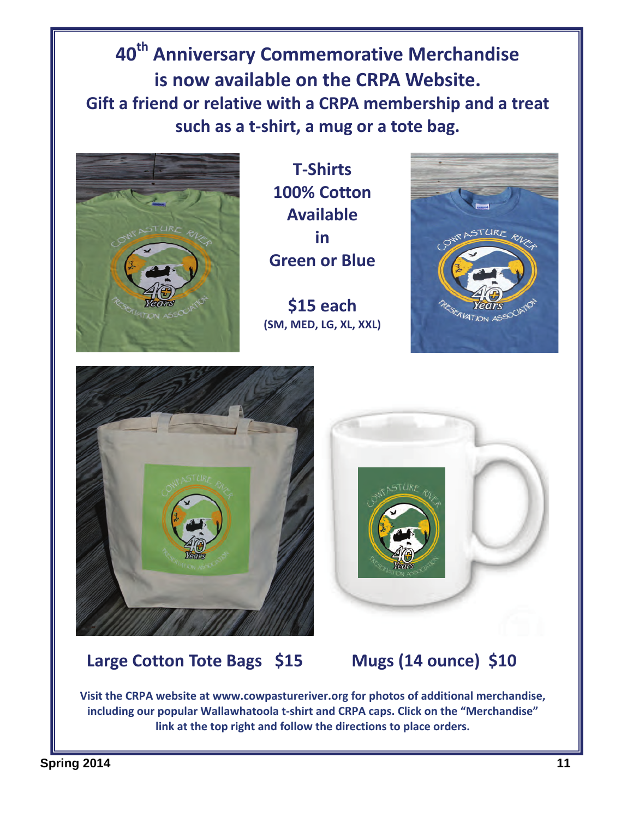**40th Anniversary Commemorative Merchandise is now available on the CRPA Website. Gift a friend or relative with a CRPA membership and a treat such as a t‐shirt, a mug or a tote bag.**



**T‐Shirts 100% Cotton Available**   $\mathbf{i}$ **Green or Blue**

**\$15 each (SM, MED, LG, XL, XXL)**





### **Large Cotton Tote Bags \$15 Mugs (14 ounce) \$10**



**Visit the CRPA website at www.cowpastureriver.org for photos of additional merchandise, including our popular Wallawhatoola t‐shirt and CRPA caps. Click on the "Merchandise" link at the top right and follow the directions to place orders.**